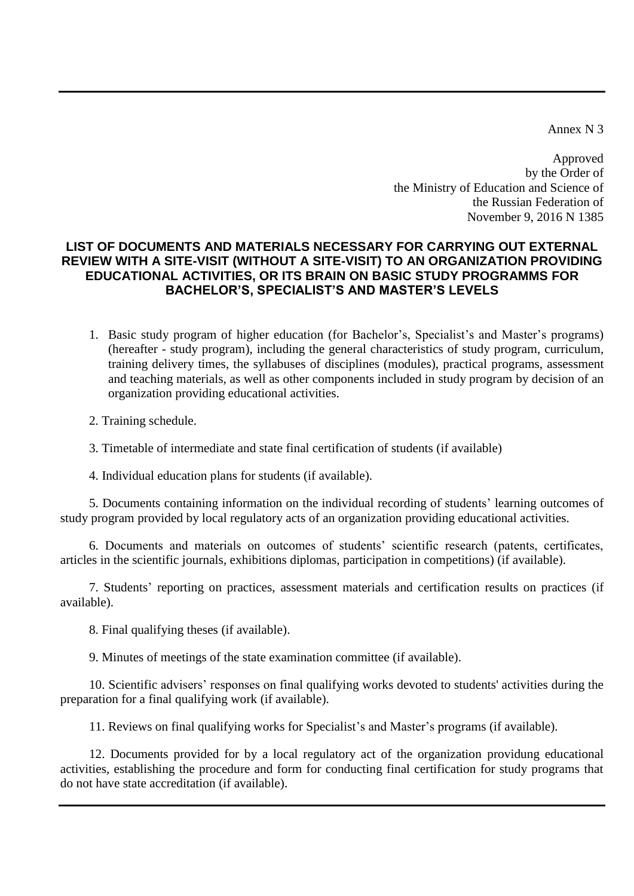Annex N 3

Approved by the Order of the Ministry of Education and Science of the Russian Federation of November 9, 2016 N 1385

## **LIST OF DOCUMENTS AND MATERIALS NECESSARY FOR CARRYING OUT EXTERNAL REVIEW WITH A SITE-VISIT (WITHOUT A SITE-VISIT) TO AN ORGANIZATION PROVIDING EDUCATIONAL ACTIVITIES, OR ITS BRAIN ON BASIC STUDY PROGRAMMS FOR BACHELOR'S, SPECIALIST'S AND MASTER'S LEVELS**

1. Basic study program of higher education (for Bachelor's, Specialist's and Master's programs) (hereafter - study program), including the general characteristics of study program, curriculum, [training delivery times,](https://context.reverso.net/translation/english-russian/training+delivery+times) the syllabuses of disciplines (modules), practical programs, assessment and teaching materials, as well as other components included in study program by decision of an organization providing educational activities.

2. [Training schedule.](https://context.reverso.net/translation/english-russian/training+schedule)

3. Timetable of intermediate and state final certification of students (if available)

4. Individual education plans for students (if available).

5. Documents containing information on the individual recording of students' learning outcomes of study program provided by local regulatory acts of an organization providing educational activities.

6. Documents and materials on outcomes of students' scientific research (patents, certificates, articles in the scientific journals, exhibitions diplomas, participation in competitions) (if available).

7. Students' reporting on practices, assessment materials and certification results on practices (if available).

8. Final qualifying theses (if available).

9. Minutes of meetings of the state examination committee (if available).

10. Scientific advisers' responses on final qualifying works devoted to students' activities during the preparation for a final qualifying work (if available).

11. Reviews on final qualifying works for Specialist's and Master's programs (if available).

12. Documents provided for by a local regulatory act of the organization providung educational activities, establishing the procedure and form for conducting final certification for study programs that do not have state accreditation (if available).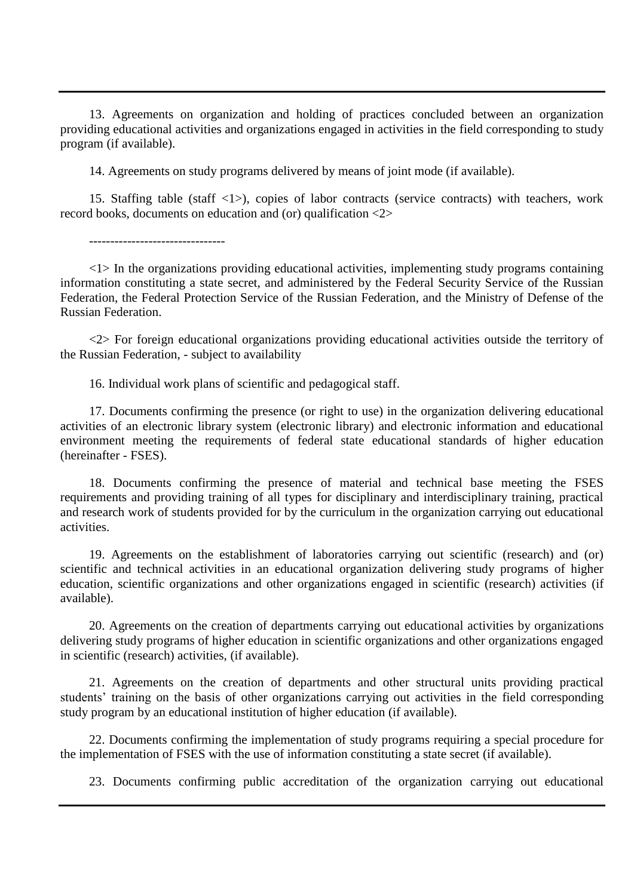13. Agreements on organization and holding of practices concluded between an organization providing educational activities and organizations engaged in activities in the field corresponding to study program (if available).

14. Agreements on study programs delivered by means of joint mode (if available).

15. Staffing table (staff <1>), copies of labor contracts (service contracts) with teachers, work record books, documents on education and (or) qualification <2>

 $\langle 1 \rangle$  In the organizations providing educational activities, implementing study programs containing information constituting a state secret, and administered by the Federal Security Service of the Russian Federation, the Federal Protection Service of the Russian Federation, and the Ministry of Defense of the Russian Federation.

<2> For foreign educational organizations providing educational activities outside the territory of the Russian Federation, - subject to availability

16. Individual work plans of scientific and pedagogical staff.

17. Documents confirming the presence (or right to use) in the organization delivering educational activities of an electronic library system (electronic library) and electronic information and educational environment meeting the requirements of federal state educational standards of higher education (hereinafter - FSES).

18. Documents confirming the presence of material and technical base meeting the FSES requirements and providing training of all types for disciplinary and interdisciplinary training, practical and research work of students provided for by the curriculum in the organization carrying out educational activities.

19. Agreements on the establishment of laboratories carrying out scientific (research) and (or) scientific and technical activities in an educational organization delivering study programs of higher education, scientific organizations and other organizations engaged in scientific (research) activities (if available).

20. Agreements on the creation of departments carrying out educational activities by organizations delivering study programs of higher education in scientific organizations and other organizations engaged in scientific (research) activities, (if available).

21. Agreements on the creation of departments and other structural units providing practical students' training on the basis of other organizations carrying out activities in the field corresponding study program by an educational institution of higher education (if available).

22. Documents confirming the implementation of study programs requiring a special procedure for the implementation of FSES with the use of information constituting a state secret (if available).

23. Documents confirming public accreditation of the organization carrying out educational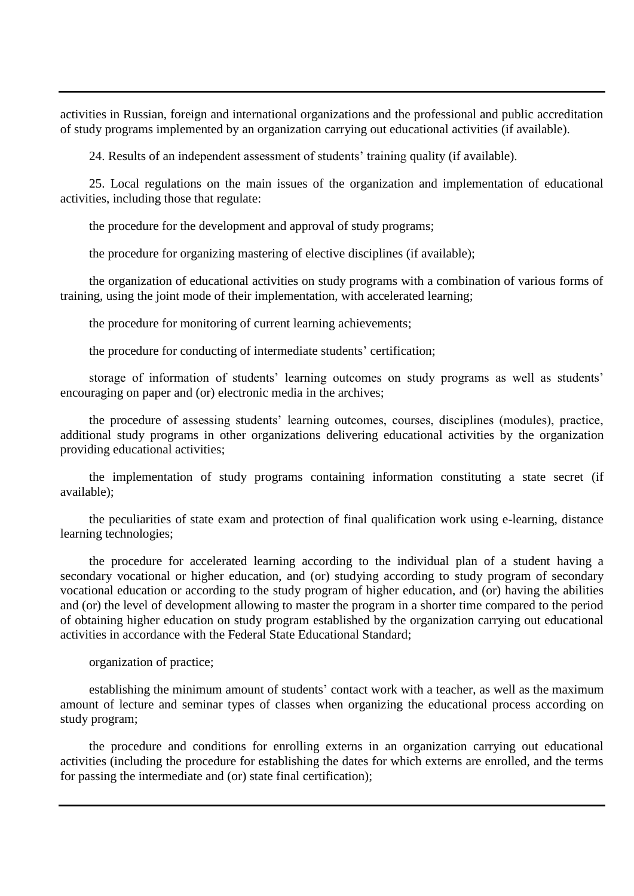activities in Russian, foreign and international organizations and the professional and public accreditation of study programs implemented by an organization carrying out educational activities (if available).

24. Results of an independent assessment of students' training quality (if available).

25. Local regulations on the main issues of the organization and implementation of educational activities, including those that regulate:

the procedure for the development and approval of study programs;

the procedure for organizing mastering of elective disciplines (if available);

the organization of educational activities on study programs with a combination of various forms of training, using the joint mode of their implementation, with accelerated learning;

the procedure for monitoring of current learning achievements;

the procedure for conducting of intermediate students' certification;

storage of information of students' learning outcomes on study programs as well as students' encouraging on paper and (or) electronic media in the archives;

the procedure of assessing students' learning outcomes, courses, disciplines (modules), practice, additional study programs in other organizations delivering educational activities by the organization providing educational activities;

the implementation of study programs containing information constituting a state secret (if available);

the peculiarities of state exam and protection of final qualification work using e-learning, distance learning technologies;

the procedure for accelerated learning according to the individual plan of a student having a secondary vocational or higher education, and (or) studying according to study program of secondary vocational education or according to the study program of higher education, and (or) having the abilities and (or) the level of development allowing to master the program in a shorter time compared to the period of obtaining higher education on study program established by the organization carrying out educational activities in accordance with the Federal State Educational Standard;

organization of practice;

establishing the minimum amount of students' contact work with a teacher, as well as the maximum amount of lecture and seminar types of classes when organizing the educational process according on study program;

the procedure and conditions for enrolling externs in an organization carrying out educational activities (including the procedure for establishing the dates for which externs are enrolled, and the terms for passing the intermediate and (or) state final certification);